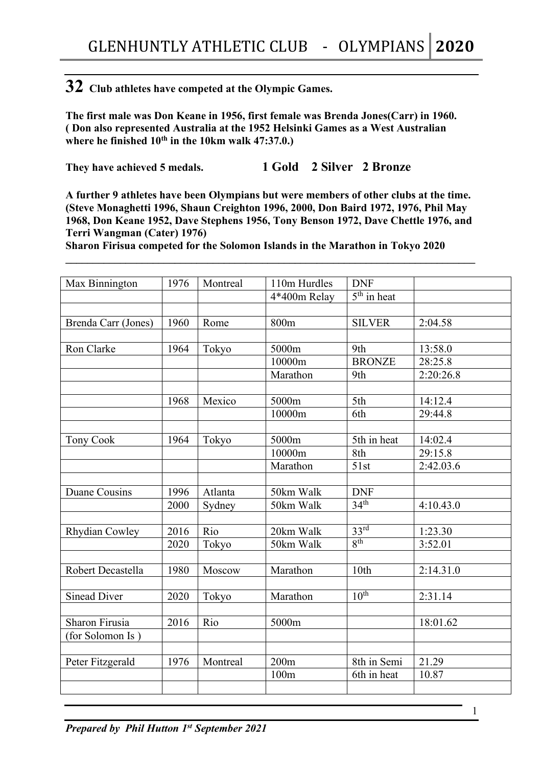## **32 Club athletes have competed at the Olympic Games.**

**The first male was Don Keane in 1956, first female was Brenda Jones(Carr) in 1960. ( Don also represented Australia at the 1952 Helsinki Games as a West Australian where he finished 10th in the 10km walk 47:37.0.)**

**They have achieved 5 medals. 1 Gold 2 Silver 2 Bronze**

**A further 9 athletes have been Olympians but were members of other clubs at the time. (Steve Monaghetti 1996, Shaun Creighton 1996, 2000, Don Baird 1972, 1976, Phil May 1968, Don Keane 1952, Dave Stephens 1956, Tony Benson 1972, Dave Chettle 1976, and Terri Wangman (Cater) 1976)**

**\_\_\_\_\_\_\_\_\_\_\_\_\_\_\_\_\_\_\_\_\_\_\_\_\_\_\_\_\_\_\_\_\_\_\_\_\_\_\_\_\_\_\_\_\_\_\_\_\_\_\_\_\_\_\_\_\_\_\_\_\_\_\_\_\_\_\_\_\_\_\_\_\_\_\_**

**Sharon Firisua competed for the Solomon Islands in the Marathon in Tokyo 2020**

| Max Binnington       | 1976 | Montreal | 110m Hurdles | <b>DNF</b>                  |           |
|----------------------|------|----------|--------------|-----------------------------|-----------|
|                      |      |          | 4*400m Relay | $\overline{5^{th}}$ in heat |           |
|                      |      |          |              |                             |           |
| Brenda Carr (Jones)  | 1960 | Rome     | 800m         | <b>SILVER</b>               | 2:04.58   |
|                      |      |          |              |                             |           |
| Ron Clarke           | 1964 | Tokyo    | 5000m        | 9th                         | 13:58.0   |
|                      |      |          | 10000m       | <b>BRONZE</b>               | 28:25.8   |
|                      |      |          | Marathon     | 9th                         | 2:20:26.8 |
|                      |      |          |              |                             |           |
|                      | 1968 | Mexico   | 5000m        | 5th                         | 14:12.4   |
|                      |      |          | 10000m       | 6th                         | 29:44.8   |
|                      |      |          |              |                             |           |
| <b>Tony Cook</b>     | 1964 | Tokyo    | 5000m        | 5th in heat                 | 14:02.4   |
|                      |      |          | 10000m       | 8th                         | 29:15.8   |
|                      |      |          | Marathon     | 51st                        | 2:42.03.6 |
|                      |      |          |              |                             |           |
| <b>Duane Cousins</b> | 1996 | Atlanta  | 50km Walk    | <b>DNF</b>                  |           |
|                      | 2000 | Sydney   | 50km Walk    | 34 <sup>th</sup>            | 4:10.43.0 |
|                      |      |          |              |                             |           |
| Rhydian Cowley       | 2016 | Rio      | 20km Walk    | 33 <sup>rd</sup>            | 1:23.30   |
|                      | 2020 | Tokyo    | 50km Walk    | 8 <sup>th</sup>             | 3:52.01   |
|                      |      |          |              |                             |           |
| Robert Decastella    | 1980 | Moscow   | Marathon     | 10th                        | 2:14.31.0 |
|                      |      |          |              |                             |           |
| <b>Sinead Diver</b>  | 2020 | Tokyo    | Marathon     | $10^{th}$                   | 2:31.14   |
|                      |      |          |              |                             |           |
| Sharon Firusia       | 2016 | Rio      | 5000m        |                             | 18:01.62  |
| (for Solomon Is)     |      |          |              |                             |           |
|                      |      |          |              |                             |           |
| Peter Fitzgerald     | 1976 | Montreal | 200m         | 8th in Semi                 | 21.29     |
|                      |      |          | 100m         | 6th in heat                 | 10.87     |
|                      |      |          |              |                             |           |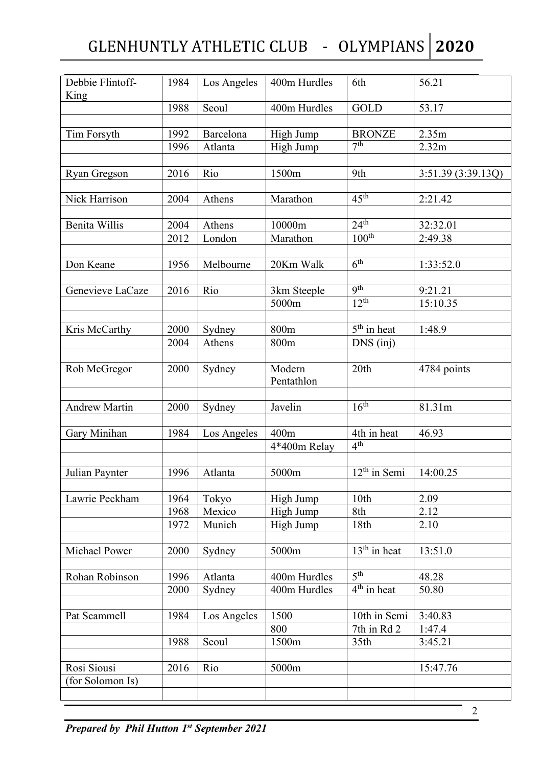## GLENHUNTLY ATHLETIC CLUB - OLYMPIANS **2020**

| Debbie Flintoff-     | 1984 | Los Angeles | 400m Hurdles         | 6th                 | 56.21              |
|----------------------|------|-------------|----------------------|---------------------|--------------------|
| King                 |      |             |                      |                     |                    |
|                      | 1988 | Seoul       | 400m Hurdles         | <b>GOLD</b>         | 53.17              |
| Tim Forsyth          | 1992 | Barcelona   | High Jump            | <b>BRONZE</b>       | 2.35m              |
|                      | 1996 | Atlanta     | High Jump            | 7 <sup>th</sup>     | 2.32m              |
|                      |      |             |                      |                     |                    |
| Ryan Gregson         | 2016 | Rio         | 1500m                | 9th                 | 3:51.39 (3:39.13Q) |
|                      |      |             |                      |                     |                    |
| Nick Harrison        | 2004 | Athens      | Marathon             | $45^{\text{th}}$    | 2:21.42            |
|                      |      |             |                      | 24 <sup>th</sup>    |                    |
| <b>Benita Willis</b> | 2004 | Athens      | 10000m               | $100^{\text{th}}$   | 32:32.01           |
|                      | 2012 | London      | Marathon             |                     | 2:49.38            |
| Don Keane            | 1956 | Melbourne   | 20Km Walk            | 6 <sup>th</sup>     | 1:33:52.0          |
|                      |      |             |                      |                     |                    |
| Genevieve LaCaze     | 2016 | Rio         | 3km Steeple          | <b>9th</b>          | 9:21.21            |
|                      |      |             | 5000m                | 12 <sup>th</sup>    | 15:10.35           |
| Kris McCarthy        | 2000 | Sydney      | 800m                 | $5th$ in heat       | 1:48.9             |
|                      | 2004 | Athens      | 800m                 | DNS (inj)           |                    |
|                      |      |             |                      |                     |                    |
| Rob McGregor         | 2000 | Sydney      | Modern<br>Pentathlon | 20th                | 4784 points        |
| <b>Andrew Martin</b> | 2000 | Sydney      | Javelin              | 16 <sup>th</sup>    | 81.31m             |
|                      |      |             |                      |                     |                    |
| Gary Minihan         | 1984 | Los Angeles | 400m                 | 4th in heat         | 46.93              |
|                      |      |             | 4*400m Relay         | 4 <sup>th</sup>     |                    |
|                      |      |             |                      |                     |                    |
| Julian Paynter       | 1996 | Atlanta     | 5000m                | $12th$ in Semi      | 14:00.25           |
| Lawrie Peckham       | 1964 | Tokyo       | High Jump            | 10th                | 2.09               |
|                      | 1968 | Mexico      | High Jump            | 8th                 | 2.12               |
|                      | 1972 | Munich      | High Jump            | 18th                | 2.10               |
|                      |      |             |                      |                     |                    |
| Michael Power        | 2000 | Sydney      | 5000m                | $13th$ in heat      | 13:51.0            |
|                      |      |             |                      |                     |                    |
| Rohan Robinson       | 1996 | Atlanta     | 400m Hurdles         | $\overline{5^{th}}$ | 48.28              |
|                      | 2000 | Sydney      | 400m Hurdles         | $4th$ in heat       | 50.80              |
|                      |      |             |                      |                     |                    |
| Pat Scammell         | 1984 | Los Angeles | 1500                 | 10th in Semi        | 3:40.83            |
|                      |      |             | 800                  | 7th in Rd 2         | 1:47.4             |
|                      | 1988 | Seoul       | 1500m                | 35th                | 3:45.21            |
| Rosi Siousi          | 2016 | Rio         | 5000m                |                     | 15:47.76           |
| (for Solomon Is)     |      |             |                      |                     |                    |
|                      |      |             |                      |                     |                    |